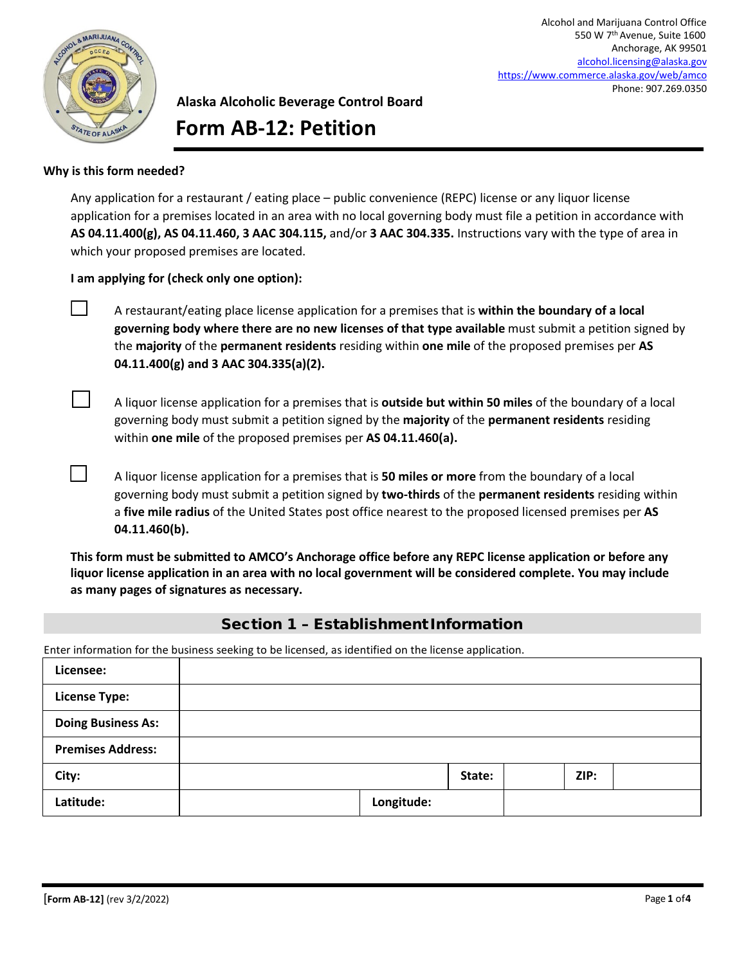

Alcohol and Marijuana Control Office 550 W 7th Avenue, Suite 1600 Anchorage, AK 99501 [alcohol.licensing@alaska.gov](mailto:alcohol.licensing@alaska.gov) <https://www.commerce.alaska.gov/web/amco> Phone: 907.269.0350

# **Alaska Alcoholic Beverage Control Board Form AB-12: Petition**

#### **Why is this form needed?**

Any application for a restaurant / eating place – public convenience (REPC) license or any liquor license application for a premises located in an area with no local governing body must file a petition in accordance with **AS 04.11.400(g), AS 04.11.460, 3 AAC 304.115,** and/or **3 AAC 304.335.** Instructions vary with the type of area in which your proposed premises are located.

**I am applying for (check only one option):**

 A restaurant/eating place license application for a premises that is **within the boundary of a local governing body where there are no new licenses of that type available** must submit a petition signed by the **majority** of the **permanent residents** residing within **one mile** of the proposed premises per **AS 04.11.400(g) and 3 AAC 304.335(a)(2).**

 A liquor license application for a premises that is **outside but within 50 miles** of the boundary of a local governing body must submit a petition signed by the **majority** of the **permanent residents** residing within **one mile** of the proposed premises per **AS 04.11.460(a).**

 A liquor license application for a premises that is **50 miles or more** from the boundary of a local governing body must submit a petition signed by **two-thirds** of the **permanent residents** residing within a **five mile radius** of the United States post office nearest to the proposed licensed premises per **AS 04.11.460(b).**

**This form must be submitted to AMCO's Anchorage office before any REPC license application or before any liquor license application in an area with no local government will be considered complete. You may include as many pages of signatures as necessary.** 

### Section 1 – Establishment Information

Enter information for the business seeking to be licensed, as identified on the license application.

| Licensee:                 |            |        |      |  |
|---------------------------|------------|--------|------|--|
| <b>License Type:</b>      |            |        |      |  |
| <b>Doing Business As:</b> |            |        |      |  |
| <b>Premises Address:</b>  |            |        |      |  |
| City:                     |            | State: | ZIP: |  |
| Latitude:                 | Longitude: |        |      |  |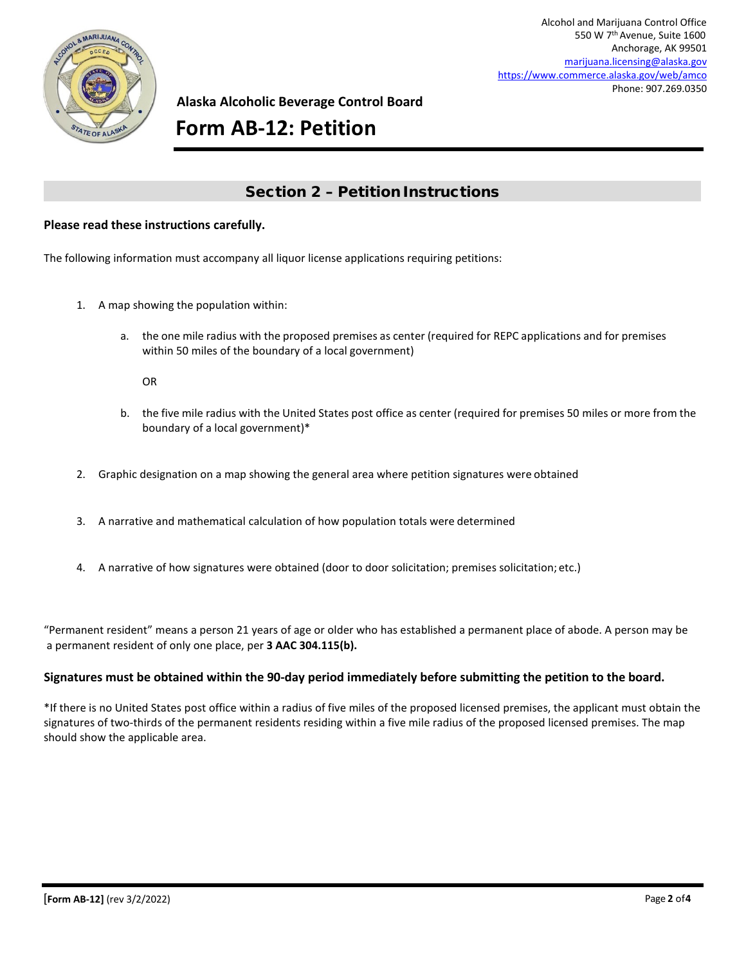

**Alaska Alcoholic Beverage Control Board**

# **Form AB-12: Petition**

## Section 2 – Petition Instructions

#### **Please read these instructions carefully.**

The following information must accompany all liquor license applications requiring petitions:

- 1. A map showing the population within:
	- a. the one mile radius with the proposed premises as center (required for REPC applications and for premises within 50 miles of the boundary of a local government)

OR

- b. the five mile radius with the United States post office as center (required for premises 50 miles or more from the boundary of a local government)\*
- 2. Graphic designation on a map showing the general area where petition signatures were obtained
- 3. A narrative and mathematical calculation of how population totals were determined
- 4. A narrative of how signatures were obtained (door to door solicitation; premises solicitation; etc.)

"Permanent resident" means a person 21 years of age or older who has established a permanent place of abode. A person may be a permanent resident of only one place, per **3 AAC 304.115(b).**

#### **Signatures must be obtained within the 90-day period immediately before submitting the petition to the board.**

\*If there is no United States post office within a radius of five miles of the proposed licensed premises, the applicant must obtain the signatures of two-thirds of the permanent residents residing within a five mile radius of the proposed licensed premises. The map should show the applicable area.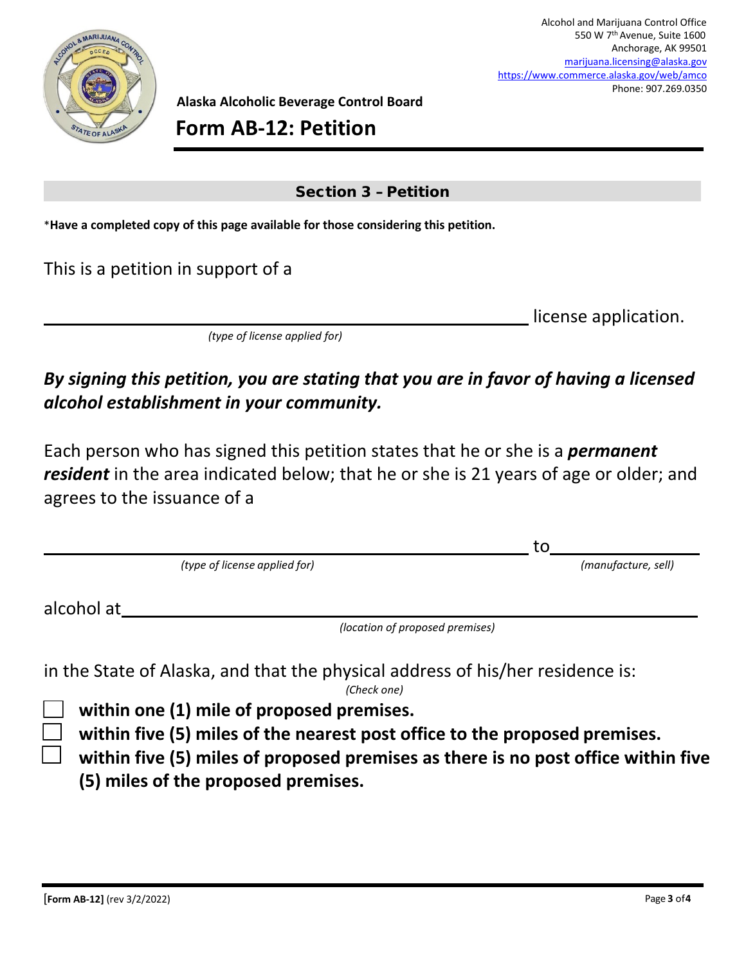

**Alaska Alcoholic Beverage Control Board**

**Form AB-12: Petition**

# Section 3 – Petition

\***Have a completed copy of this page available for those considering this petition.**

This is a petition in support of a

license application.

 $\mathbf{t}$ 

*(type of license applied for)*

# *By signing this petition, you are stating that you are in favor of having a licensed alcohol establishment in your community.*

Each person who has signed this petition states that he or she is a *permanent resident* in the area indicated below; that he or she is 21 years of age or older; and agrees to the issuance of a

|                               |  |                                 | τO                  |  |  |
|-------------------------------|--|---------------------------------|---------------------|--|--|
| (type of license applied for) |  |                                 | (manufacture, sell) |  |  |
| alcohol at                    |  |                                 |                     |  |  |
|                               |  | (location of proposed premises) |                     |  |  |

in the State of Alaska, and that the physical address of his/her residence is:

*(Check one)*

**within one (1) mile of proposed premises.**

**within five (5) miles of the nearest post office to the proposed premises.**

 **within five (5) miles of proposed premises as there is no post office within five (5) miles of the proposed premises.**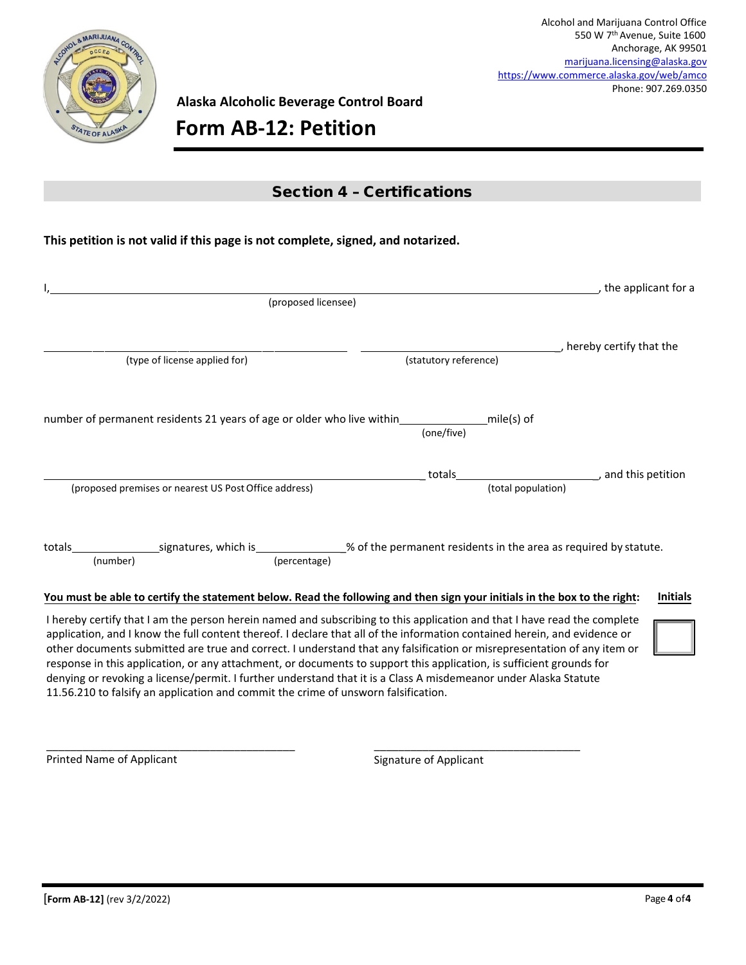

**Alaska Alcoholic Beverage Control Board**

# **Form AB-12: Petition**

### Section 4 – Certifications

### **This petition is not valid if this page is not complete, signed, and notarized.**

|                                                       |                     |                                                                                                                          | _, the applicant for a                |
|-------------------------------------------------------|---------------------|--------------------------------------------------------------------------------------------------------------------------|---------------------------------------|
|                                                       | (proposed licensee) |                                                                                                                          |                                       |
|                                                       |                     |                                                                                                                          |                                       |
|                                                       |                     |                                                                                                                          | hereby certify that the               |
| (type of license applied for)                         |                     | (statutory reference)                                                                                                    |                                       |
|                                                       |                     |                                                                                                                          |                                       |
|                                                       |                     |                                                                                                                          |                                       |
|                                                       |                     | number of permanent residents 21 years of age or older who live within miles mile(s) of                                  |                                       |
|                                                       |                     | (one/five)                                                                                                               |                                       |
|                                                       |                     |                                                                                                                          |                                       |
|                                                       |                     | totals                                                                                                                   | and this petition (and this petition) |
| (proposed premises or nearest US Post Office address) |                     | (total population)                                                                                                       |                                       |
|                                                       |                     |                                                                                                                          |                                       |
|                                                       |                     |                                                                                                                          |                                       |
|                                                       |                     |                                                                                                                          |                                       |
| (number)                                              | (percentage)        |                                                                                                                          |                                       |
|                                                       |                     |                                                                                                                          |                                       |
|                                                       |                     | You must be able to certify the statement below. Read the following and then sign your initials in the box to the right: | <b>Initials</b>                       |
|                                                       |                     | I hereby certify that I am the person herein named and subscribing to this application and that I have read the complete |                                       |

application, and I know the full content thereof. I declare that all of the information contained herein, and evidence or other documents submitted are true and correct. I understand that any falsification or misrepresentation of any item or response in this application, or any attachment, or documents to support this application, is sufficient grounds for denying or revoking a license/permit. I further understand that it is a Class A misdemeanor under Alaska Statute 11.56.210 to falsify an application and commit the crime of unsworn falsification.

Printed Name of Applicant

\_\_\_\_\_\_\_\_\_\_\_\_\_\_\_\_\_\_\_\_\_\_\_\_\_\_\_\_\_\_\_\_\_\_\_\_\_\_\_\_\_

Signature of Applicant

\_\_\_\_\_\_\_\_\_\_\_\_\_\_\_\_\_\_\_\_\_\_\_\_\_\_\_\_\_\_\_\_\_\_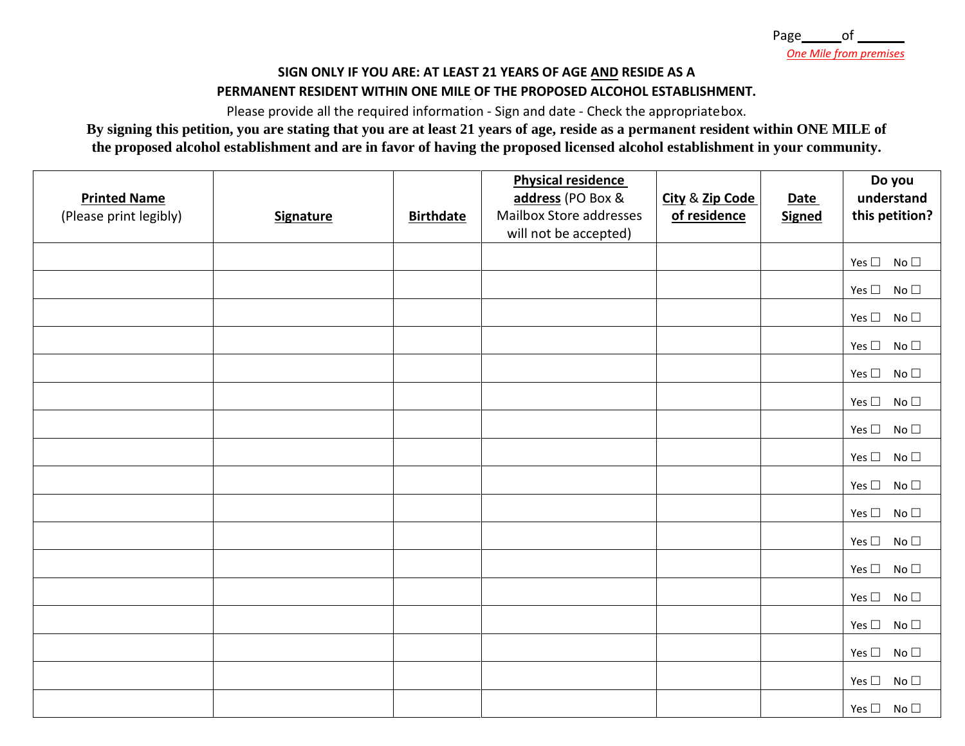# **SIGN ONLY IF YOU ARE: AT LEAST 21 YEARS OF AGE AND RESIDE AS A**

### **PERMANENT RESIDENT WITHIN ONE MILE OF THE PROPOSED ALCOHOL ESTABLISHMENT.**

Please provide all the required information - Sign and date - Check the appropriatebox.

**By signing this petition, you are stating that you are at least 21 years of age, reside as a permanent resident within ONE MILE of the proposed alcohol establishment and are in favor of having the proposed licensed alcohol establishment in your community.** 

| <b>Printed Name</b><br>(Please print legibly) | <b>Signature</b> | <b>Birthdate</b> | <b>Physical residence</b><br>address (PO Box &<br>Mailbox Store addresses<br>will not be accepted) | City & Zip Code<br>of residence | <b>Date</b><br><b>Signed</b> | Do you<br>understand<br>this petition? |
|-----------------------------------------------|------------------|------------------|----------------------------------------------------------------------------------------------------|---------------------------------|------------------------------|----------------------------------------|
|                                               |                  |                  |                                                                                                    |                                 |                              |                                        |
|                                               |                  |                  |                                                                                                    |                                 |                              | Yes $\square$<br>No <sub>1</sub>       |
|                                               |                  |                  |                                                                                                    |                                 |                              | Yes $\Box$<br>No <sub>1</sub>          |
|                                               |                  |                  |                                                                                                    |                                 |                              | Yes $\square$<br>No <sub>1</sub>       |
|                                               |                  |                  |                                                                                                    |                                 |                              | Yes $\Box$<br>No <sub>1</sub>          |
|                                               |                  |                  |                                                                                                    |                                 |                              | Yes $\Box$<br>No <sub>1</sub>          |
|                                               |                  |                  |                                                                                                    |                                 |                              | Yes $\square$<br>No <sub>1</sub>       |
|                                               |                  |                  |                                                                                                    |                                 |                              | Yes $\Box$<br>No <sub>1</sub>          |
|                                               |                  |                  |                                                                                                    |                                 |                              | Yes $\square$<br>No $\Box$             |
|                                               |                  |                  |                                                                                                    |                                 |                              | Yes $\Box$<br>No <sub>1</sub>          |
|                                               |                  |                  |                                                                                                    |                                 |                              | Yes $\Box$<br>No <sub>1</sub>          |
|                                               |                  |                  |                                                                                                    |                                 |                              | Yes $\square$<br>No <sub>1</sub>       |
|                                               |                  |                  |                                                                                                    |                                 |                              | Yes $\Box$<br>No <sub>1</sub>          |
|                                               |                  |                  |                                                                                                    |                                 |                              | Yes $\square$<br>No <sub>1</sub>       |
|                                               |                  |                  |                                                                                                    |                                 |                              | Yes $\square$<br>No <sub>1</sub>       |
|                                               |                  |                  |                                                                                                    |                                 |                              | Yes $\Box$<br>No $\Box$                |
|                                               |                  |                  |                                                                                                    |                                 |                              | Yes $\Box$<br>No <sub>1</sub>          |
|                                               |                  |                  |                                                                                                    |                                 |                              | Yes $\square$ No $\square$             |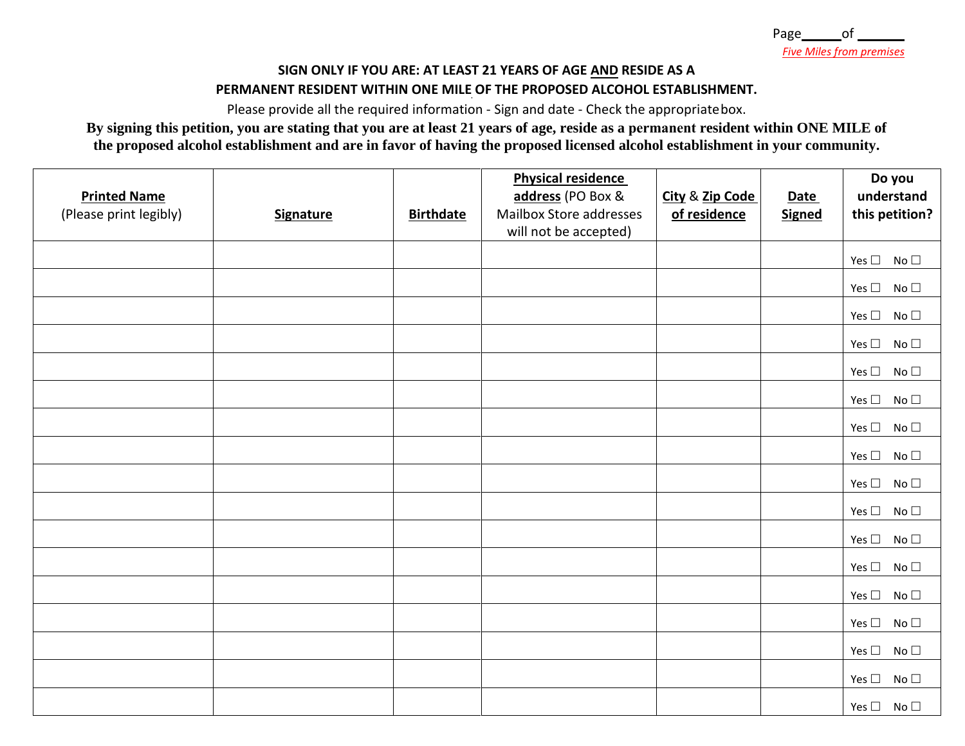### **SIGN ONLY IF YOU ARE: AT LEAST 21 YEARS OF AGE AND RESIDE AS A**

### **PERMANENT RESIDENT WITHIN ONE MILE OF THE PROPOSED ALCOHOL ESTABLISHMENT.**

Please provide all the required information - Sign and date - Check the appropriatebox.

**By signing this petition, you are stating that you are at least 21 years of age, reside as a permanent resident within ONE MILE of the proposed alcohol establishment and are in favor of having the proposed licensed alcohol establishment in your community.** 

| <b>Printed Name</b><br>(Please print legibly) | <b>Signature</b> | <b>Birthdate</b> | <b>Physical residence</b><br>address (PO Box &<br>Mailbox Store addresses<br>will not be accepted) | City & Zip Code<br>of residence | <b>Date</b><br><b>Signed</b> | Do you<br>understand<br>this petition? |
|-----------------------------------------------|------------------|------------------|----------------------------------------------------------------------------------------------------|---------------------------------|------------------------------|----------------------------------------|
|                                               |                  |                  |                                                                                                    |                                 |                              | Yes $\square$ No $\square$             |
|                                               |                  |                  |                                                                                                    |                                 |                              | Yes $\Box$<br>No <sub>1</sub>          |
|                                               |                  |                  |                                                                                                    |                                 |                              | Yes $\square$<br>No <sub>1</sub>       |
|                                               |                  |                  |                                                                                                    |                                 |                              | Yes $\Box$<br>No <sub>1</sub>          |
|                                               |                  |                  |                                                                                                    |                                 |                              | Yes $\Box$<br>No <sub>1</sub>          |
|                                               |                  |                  |                                                                                                    |                                 |                              | Yes $\square$ No $\square$             |
|                                               |                  |                  |                                                                                                    |                                 |                              | Yes $\square$ No $\square$             |
|                                               |                  |                  |                                                                                                    |                                 |                              | Yes $\square$ No $\square$             |
|                                               |                  |                  |                                                                                                    |                                 |                              | Yes $\Box$<br>No $\Box$                |
|                                               |                  |                  |                                                                                                    |                                 |                              | Yes $\square$<br>No $\Box$             |
|                                               |                  |                  |                                                                                                    |                                 |                              | Yes $\Box$<br>No <sub>1</sub>          |
|                                               |                  |                  |                                                                                                    |                                 |                              | Yes $\Box$<br>No <sub>1</sub>          |
|                                               |                  |                  |                                                                                                    |                                 |                              | No $\Box$<br>Yes $\square$             |
|                                               |                  |                  |                                                                                                    |                                 |                              | Yes $\square$<br>No <sub>1</sub>       |
|                                               |                  |                  |                                                                                                    |                                 |                              | Yes $\square$<br>No $\square$          |
|                                               |                  |                  |                                                                                                    |                                 |                              | Yes $\Box$<br>No <sub>1</sub>          |
|                                               |                  |                  |                                                                                                    |                                 |                              | Yes $\square$ No $\square$             |